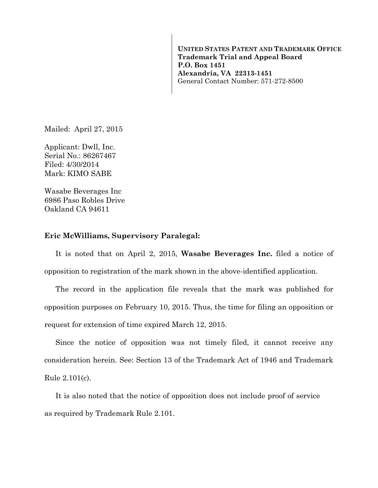**UNITED STATES PATENT AND TRADEMARK OFFICE Trademark Trial and Appeal Board P.O. Box 1451 Alexandria, VA 22313-1451**  General Contact Number: 571-272-8500

Mailed: April 27, 2015

Applicant: Dwll, Inc. Serial No.: 86267467 Filed: 4/30/2014 Mark: KIMO SABE

Wasabe Beverages Inc 6986 Paso Robles Drive Oakland CA 94611

## **Eric McWilliams, Supervisory Paralegal:**

It is noted that on April 2, 2015, **Wasabe Beverages Inc.** filed a notice of opposition to registration of the mark shown in the above-identified application.

The record in the application file reveals that the mark was published for opposition purposes on February 10, 2015. Thus, the time for filing an opposition or request for extension of time expired March 12, 2015.

Since the notice of opposition was not timely filed, it cannot receive any consideration herein. See: Section 13 of the Trademark Act of 1946 and Trademark Rule 2.101(c).

It is also noted that the notice of opposition does not include proof of service as required by Trademark Rule 2.101.